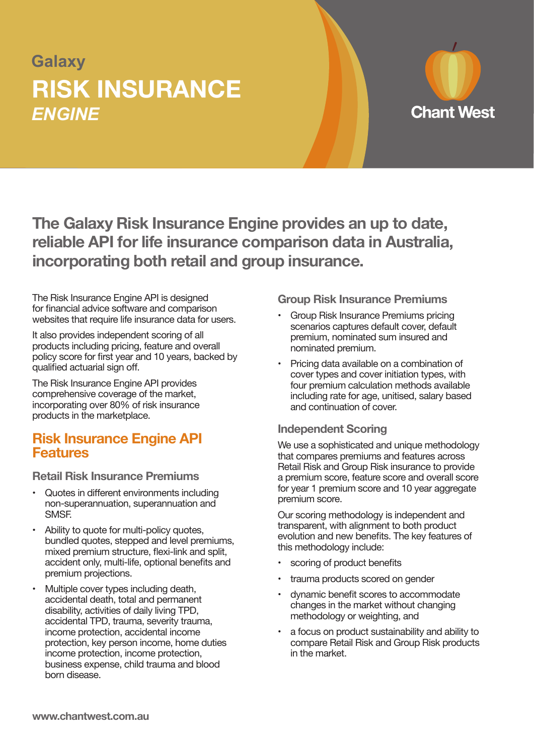# **Galaxy** *ENGINE* **RISK INSURANCE**



**The Galaxy Risk Insurance Engine provides an up to date, reliable API for life insurance comparison data in Australia, incorporating both retail and group insurance.**

The Risk Insurance Engine API is designed for financial advice software and comparison websites that require life insurance data for users.

It also provides independent scoring of all products including pricing, feature and overall policy score for first year and 10 years, backed by qualified actuarial sign off.

The Risk Insurance Engine API provides comprehensive coverage of the market, incorporating over 80% of risk insurance products in the marketplace.

### **Risk Insurance Engine API Features**

**Retail Risk Insurance Premiums**

- Quotes in different environments including non-superannuation, superannuation and SMSF.
- Ability to quote for multi-policy quotes, bundled quotes, stepped and level premiums, mixed premium structure, flexi-link and split, accident only, multi-life, optional benefits and premium projections.
- Multiple cover types including death, accidental death, total and permanent disability, activities of daily living TPD, accidental TPD, trauma, severity trauma, income protection, accidental income protection, key person income, home duties income protection, income protection, business expense, child trauma and blood born disease.

**Group Risk Insurance Premiums**

- Group Risk Insurance Premiums pricing scenarios captures default cover, default premium, nominated sum insured and nominated premium.
- Pricing data available on a combination of cover types and cover initiation types, with four premium calculation methods available including rate for age, unitised, salary based and continuation of cover.

#### **Independent Scoring**

We use a sophisticated and unique methodology that compares premiums and features across Retail Risk and Group Risk insurance to provide a premium score, feature score and overall score for year 1 premium score and 10 year aggregate premium score.

Our scoring methodology is independent and transparent, with alignment to both product evolution and new benefits. The key features of this methodology include:

- scoring of product benefits
- trauma products scored on gender
- dynamic benefit scores to accommodate changes in the market without changing methodology or weighting, and
- a focus on product sustainability and ability to compare Retail Risk and Group Risk products in the market.